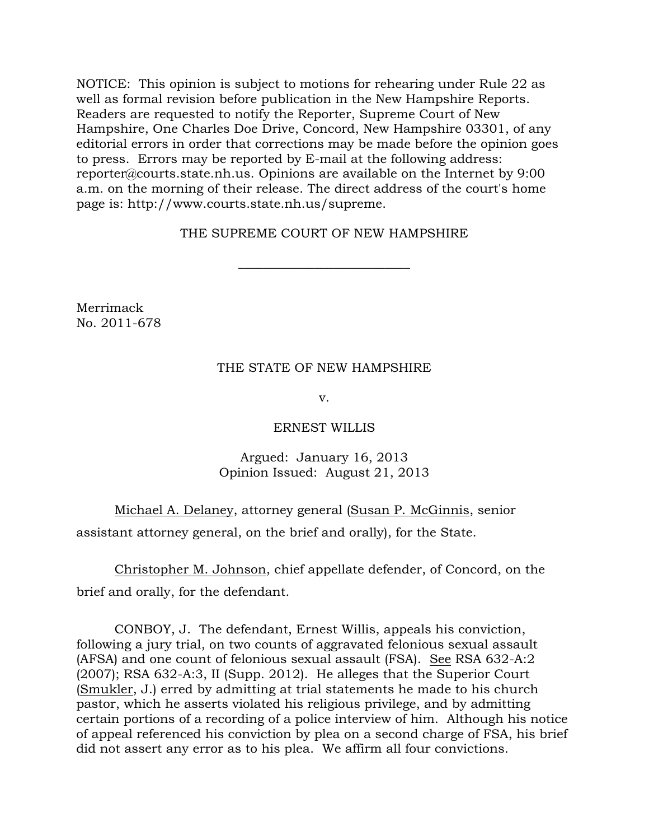NOTICE: This opinion is subject to motions for rehearing under Rule 22 as well as formal revision before publication in the New Hampshire Reports. Readers are requested to notify the Reporter, Supreme Court of New Hampshire, One Charles Doe Drive, Concord, New Hampshire 03301, of any editorial errors in order that corrections may be made before the opinion goes to press. Errors may be reported by E-mail at the following address: reporter@courts.state.nh.us. Opinions are available on the Internet by 9:00 a.m. on the morning of their release. The direct address of the court's home page is: http://www.courts.state.nh.us/supreme.

## THE SUPREME COURT OF NEW HAMPSHIRE

 $\overline{\phantom{a}}$  , where  $\overline{\phantom{a}}$  , where  $\overline{\phantom{a}}$  , where  $\overline{\phantom{a}}$  , where  $\overline{\phantom{a}}$ 

Merrimack No. 2011-678

### THE STATE OF NEW HAMPSHIRE

v.

#### ERNEST WILLIS

### Argued: January 16, 2013 Opinion Issued: August 21, 2013

 Michael A. Delaney, attorney general (Susan P. McGinnis, senior assistant attorney general, on the brief and orally), for the State.

 Christopher M. Johnson, chief appellate defender, of Concord, on the brief and orally, for the defendant.

 CONBOY, J. The defendant, Ernest Willis, appeals his conviction, following a jury trial, on two counts of aggravated felonious sexual assault (AFSA) and one count of felonious sexual assault (FSA). See RSA 632-A:2 (2007); RSA 632-A:3, II (Supp. 2012). He alleges that the Superior Court (Smukler, J.) erred by admitting at trial statements he made to his church pastor, which he asserts violated his religious privilege, and by admitting certain portions of a recording of a police interview of him. Although his notice of appeal referenced his conviction by plea on a second charge of FSA, his brief did not assert any error as to his plea. We affirm all four convictions.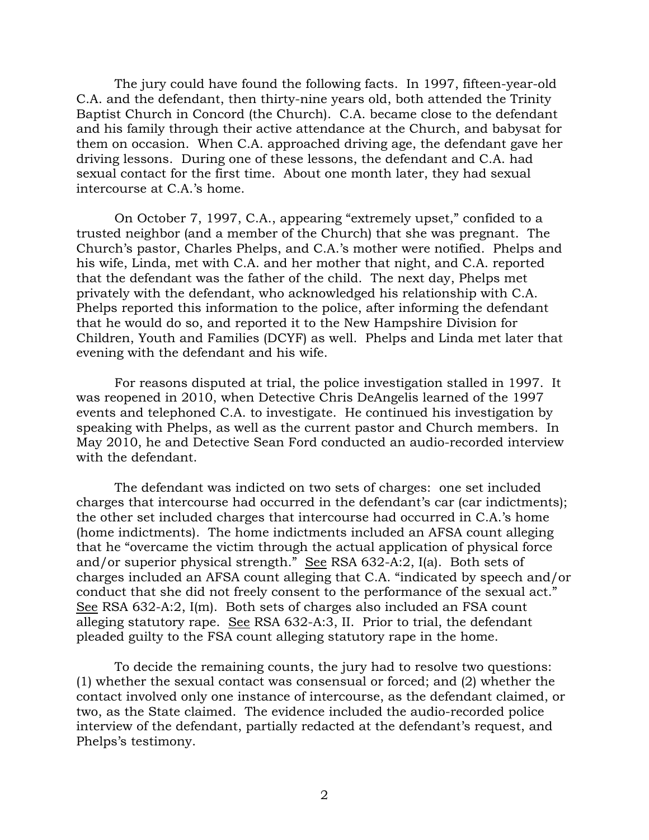The jury could have found the following facts. In 1997, fifteen-year-old C.A. and the defendant, then thirty-nine years old, both attended the Trinity Baptist Church in Concord (the Church). C.A. became close to the defendant and his family through their active attendance at the Church, and babysat for them on occasion. When C.A. approached driving age, the defendant gave her driving lessons. During one of these lessons, the defendant and C.A. had sexual contact for the first time. About one month later, they had sexual intercourse at C.A.'s home.

 On October 7, 1997, C.A., appearing "extremely upset," confided to a trusted neighbor (and a member of the Church) that she was pregnant. The Church's pastor, Charles Phelps, and C.A.'s mother were notified. Phelps and his wife, Linda, met with C.A. and her mother that night, and C.A. reported that the defendant was the father of the child. The next day, Phelps met privately with the defendant, who acknowledged his relationship with C.A. Phelps reported this information to the police, after informing the defendant that he would do so, and reported it to the New Hampshire Division for Children, Youth and Families (DCYF) as well. Phelps and Linda met later that evening with the defendant and his wife.

 For reasons disputed at trial, the police investigation stalled in 1997. It was reopened in 2010, when Detective Chris DeAngelis learned of the 1997 events and telephoned C.A. to investigate. He continued his investigation by speaking with Phelps, as well as the current pastor and Church members. In May 2010, he and Detective Sean Ford conducted an audio-recorded interview with the defendant.

 The defendant was indicted on two sets of charges: one set included charges that intercourse had occurred in the defendant's car (car indictments); the other set included charges that intercourse had occurred in C.A.'s home (home indictments). The home indictments included an AFSA count alleging that he "overcame the victim through the actual application of physical force and/or superior physical strength." See RSA 632-A:2, I(a). Both sets of charges included an AFSA count alleging that C.A. "indicated by speech and/or conduct that she did not freely consent to the performance of the sexual act." See RSA 632-A:2, I(m). Both sets of charges also included an FSA count alleging statutory rape. See RSA 632-A:3, II. Prior to trial, the defendant pleaded guilty to the FSA count alleging statutory rape in the home.

 To decide the remaining counts, the jury had to resolve two questions: (1) whether the sexual contact was consensual or forced; and (2) whether the contact involved only one instance of intercourse, as the defendant claimed, or two, as the State claimed. The evidence included the audio-recorded police interview of the defendant, partially redacted at the defendant's request, and Phelps's testimony.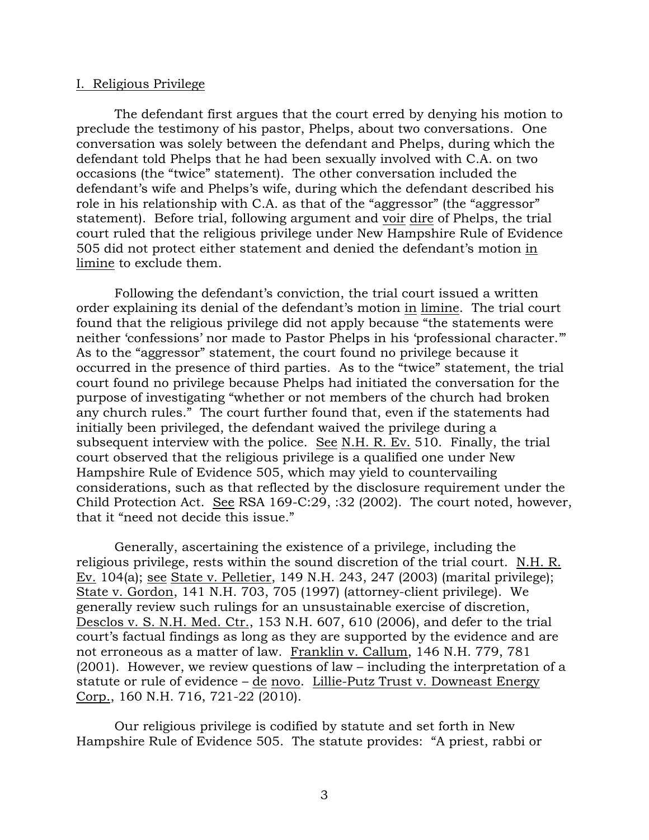#### I. Religious Privilege

 The defendant first argues that the court erred by denying his motion to preclude the testimony of his pastor, Phelps, about two conversations. One conversation was solely between the defendant and Phelps, during which the defendant told Phelps that he had been sexually involved with C.A. on two occasions (the "twice" statement). The other conversation included the defendant's wife and Phelps's wife, during which the defendant described his role in his relationship with C.A. as that of the "aggressor" (the "aggressor" statement). Before trial, following argument and voir dire of Phelps, the trial court ruled that the religious privilege under New Hampshire Rule of Evidence 505 did not protect either statement and denied the defendant's motion in limine to exclude them.

 Following the defendant's conviction, the trial court issued a written order explaining its denial of the defendant's motion in limine. The trial court found that the religious privilege did not apply because "the statements were neither 'confessions' nor made to Pastor Phelps in his 'professional character.'" As to the "aggressor" statement, the court found no privilege because it occurred in the presence of third parties. As to the "twice" statement, the trial court found no privilege because Phelps had initiated the conversation for the purpose of investigating "whether or not members of the church had broken any church rules." The court further found that, even if the statements had initially been privileged, the defendant waived the privilege during a subsequent interview with the police. See N.H. R. Ev. 510. Finally, the trial court observed that the religious privilege is a qualified one under New Hampshire Rule of Evidence 505, which may yield to countervailing considerations, such as that reflected by the disclosure requirement under the Child Protection Act. See RSA 169-C:29, :32 (2002). The court noted, however, that it "need not decide this issue."

 Generally, ascertaining the existence of a privilege, including the religious privilege, rests within the sound discretion of the trial court. N.H. R. Ev. 104(a); see State v. Pelletier, 149 N.H. 243, 247 (2003) (marital privilege); State v. Gordon, 141 N.H. 703, 705 (1997) (attorney-client privilege). We generally review such rulings for an unsustainable exercise of discretion, Desclos v. S. N.H. Med. Ctr., 153 N.H. 607, 610 (2006), and defer to the trial court's factual findings as long as they are supported by the evidence and are not erroneous as a matter of law. Franklin v. Callum, 146 N.H. 779, 781 (2001). However, we review questions of law – including the interpretation of a statute or rule of evidence – de novo. Lillie-Putz Trust v. Downeast Energy Corp., 160 N.H. 716, 721-22 (2010).

Our religious privilege is codified by statute and set forth in New Hampshire Rule of Evidence 505. The statute provides: "A priest, rabbi or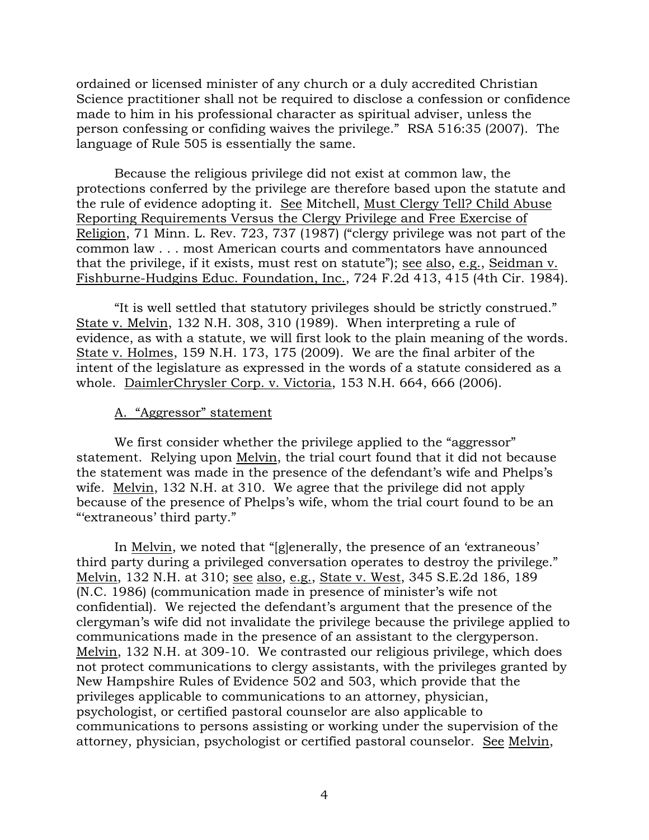ordained or licensed minister of any church or a duly accredited Christian Science practitioner shall not be required to disclose a confession or confidence made to him in his professional character as spiritual adviser, unless the person confessing or confiding waives the privilege." RSA 516:35 (2007). The language of Rule 505 is essentially the same.

 Because the religious privilege did not exist at common law, the protections conferred by the privilege are therefore based upon the statute and the rule of evidence adopting it. See Mitchell, Must Clergy Tell? Child Abuse Reporting Requirements Versus the Clergy Privilege and Free Exercise of Religion, 71 Minn. L. Rev. 723, 737 (1987) ("clergy privilege was not part of the common law . . . most American courts and commentators have announced that the privilege, if it exists, must rest on statute"); see also, e.g., Seidman v. Fishburne-Hudgins Educ. Foundation, Inc., 724 F.2d 413, 415 (4th Cir. 1984).

 "It is well settled that statutory privileges should be strictly construed." State v. Melvin, 132 N.H. 308, 310 (1989). When interpreting a rule of evidence, as with a statute, we will first look to the plain meaning of the words. State v. Holmes, 159 N.H. 173, 175 (2009). We are the final arbiter of the intent of the legislature as expressed in the words of a statute considered as a whole. DaimlerChrysler Corp. v. Victoria, 153 N.H. 664, 666 (2006).

#### A. "Aggressor" statement

We first consider whether the privilege applied to the "aggressor" statement. Relying upon Melvin, the trial court found that it did not because the statement was made in the presence of the defendant's wife and Phelps's wife. Melvin, 132 N.H. at 310. We agree that the privilege did not apply because of the presence of Phelps's wife, whom the trial court found to be an "'extraneous' third party."

 In Melvin, we noted that "[g]enerally, the presence of an 'extraneous' third party during a privileged conversation operates to destroy the privilege." Melvin, 132 N.H. at 310; see also, e.g., State v. West, 345 S.E.2d 186, 189 (N.C. 1986) (communication made in presence of minister's wife not confidential). We rejected the defendant's argument that the presence of the clergyman's wife did not invalidate the privilege because the privilege applied to communications made in the presence of an assistant to the clergyperson. Melvin, 132 N.H. at 309-10. We contrasted our religious privilege, which does not protect communications to clergy assistants, with the privileges granted by New Hampshire Rules of Evidence 502 and 503, which provide that the privileges applicable to communications to an attorney, physician, psychologist, or certified pastoral counselor are also applicable to communications to persons assisting or working under the supervision of the attorney, physician, psychologist or certified pastoral counselor. See Melvin,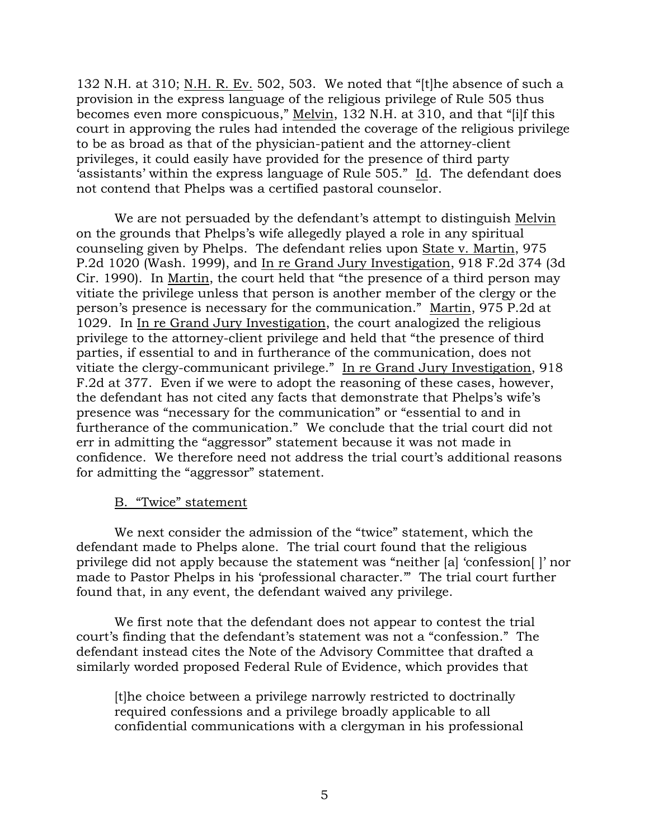132 N.H. at 310; N.H. R. Ev. 502, 503. We noted that "[t]he absence of such a provision in the express language of the religious privilege of Rule 505 thus becomes even more conspicuous," Melvin, 132 N.H. at 310, and that "[i]f this court in approving the rules had intended the coverage of the religious privilege to be as broad as that of the physician-patient and the attorney-client privileges, it could easily have provided for the presence of third party 'assistants' within the express language of Rule 505." Id. The defendant does not contend that Phelps was a certified pastoral counselor.

We are not persuaded by the defendant's attempt to distinguish Melvin on the grounds that Phelps's wife allegedly played a role in any spiritual counseling given by Phelps. The defendant relies upon State v. Martin, 975 P.2d 1020 (Wash. 1999), and In re Grand Jury Investigation, 918 F.2d 374 (3d Cir. 1990). In Martin, the court held that "the presence of a third person may vitiate the privilege unless that person is another member of the clergy or the person's presence is necessary for the communication." Martin, 975 P.2d at 1029. In In re Grand Jury Investigation, the court analogized the religious privilege to the attorney-client privilege and held that "the presence of third parties, if essential to and in furtherance of the communication, does not vitiate the clergy-communicant privilege." In re Grand Jury Investigation, 918 F.2d at 377. Even if we were to adopt the reasoning of these cases, however, the defendant has not cited any facts that demonstrate that Phelps's wife's presence was "necessary for the communication" or "essential to and in furtherance of the communication." We conclude that the trial court did not err in admitting the "aggressor" statement because it was not made in confidence. We therefore need not address the trial court's additional reasons for admitting the "aggressor" statement.

### B. "Twice" statement

 We next consider the admission of the "twice" statement, which the defendant made to Phelps alone. The trial court found that the religious privilege did not apply because the statement was "neither [a] 'confession[ ]' nor made to Pastor Phelps in his 'professional character.'" The trial court further found that, in any event, the defendant waived any privilege.

 We first note that the defendant does not appear to contest the trial court's finding that the defendant's statement was not a "confession." The defendant instead cites the Note of the Advisory Committee that drafted a similarly worded proposed Federal Rule of Evidence, which provides that

[t]he choice between a privilege narrowly restricted to doctrinally required confessions and a privilege broadly applicable to all confidential communications with a clergyman in his professional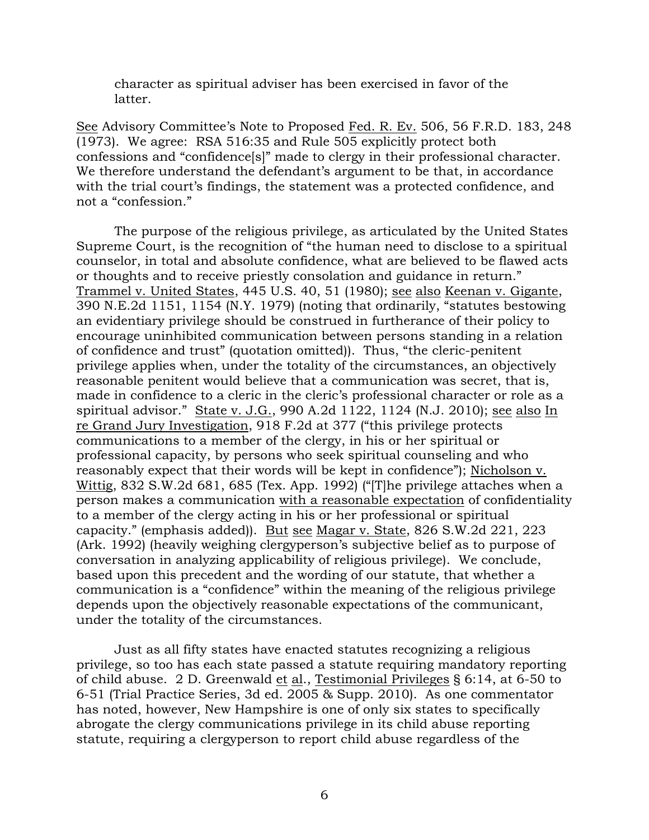character as spiritual adviser has been exercised in favor of the latter.

See Advisory Committee's Note to Proposed Fed. R. Ev. 506, 56 F.R.D. 183, 248 (1973). We agree: RSA 516:35 and Rule 505 explicitly protect both confessions and "confidence[s]" made to clergy in their professional character. We therefore understand the defendant's argument to be that, in accordance with the trial court's findings, the statement was a protected confidence, and not a "confession."

 The purpose of the religious privilege, as articulated by the United States Supreme Court, is the recognition of "the human need to disclose to a spiritual counselor, in total and absolute confidence, what are believed to be flawed acts or thoughts and to receive priestly consolation and guidance in return." Trammel v. United States, 445 U.S. 40, 51 (1980); see also Keenan v. Gigante, 390 N.E.2d 1151, 1154 (N.Y. 1979) (noting that ordinarily, "statutes bestowing an evidentiary privilege should be construed in furtherance of their policy to encourage uninhibited communication between persons standing in a relation of confidence and trust" (quotation omitted)). Thus, "the cleric-penitent privilege applies when, under the totality of the circumstances, an objectively reasonable penitent would believe that a communication was secret, that is, made in confidence to a cleric in the cleric's professional character or role as a spiritual advisor." State v. J.G., 990 A.2d 1122, 1124 (N.J. 2010); see also In re Grand Jury Investigation, 918 F.2d at 377 ("this privilege protects communications to a member of the clergy, in his or her spiritual or professional capacity, by persons who seek spiritual counseling and who reasonably expect that their words will be kept in confidence"); Nicholson v. Wittig, 832 S.W.2d 681, 685 (Tex. App. 1992) ("[T]he privilege attaches when a person makes a communication with a reasonable expectation of confidentiality to a member of the clergy acting in his or her professional or spiritual capacity." (emphasis added)). But see Magar v. State, 826 S.W.2d 221, 223 (Ark. 1992) (heavily weighing clergyperson's subjective belief as to purpose of conversation in analyzing applicability of religious privilege). We conclude, based upon this precedent and the wording of our statute, that whether a communication is a "confidence" within the meaning of the religious privilege depends upon the objectively reasonable expectations of the communicant, under the totality of the circumstances.

 Just as all fifty states have enacted statutes recognizing a religious privilege, so too has each state passed a statute requiring mandatory reporting of child abuse. 2 D. Greenwald et al., Testimonial Privileges § 6:14, at 6-50 to 6-51 (Trial Practice Series, 3d ed. 2005 & Supp. 2010). As one commentator has noted, however, New Hampshire is one of only six states to specifically abrogate the clergy communications privilege in its child abuse reporting statute, requiring a clergyperson to report child abuse regardless of the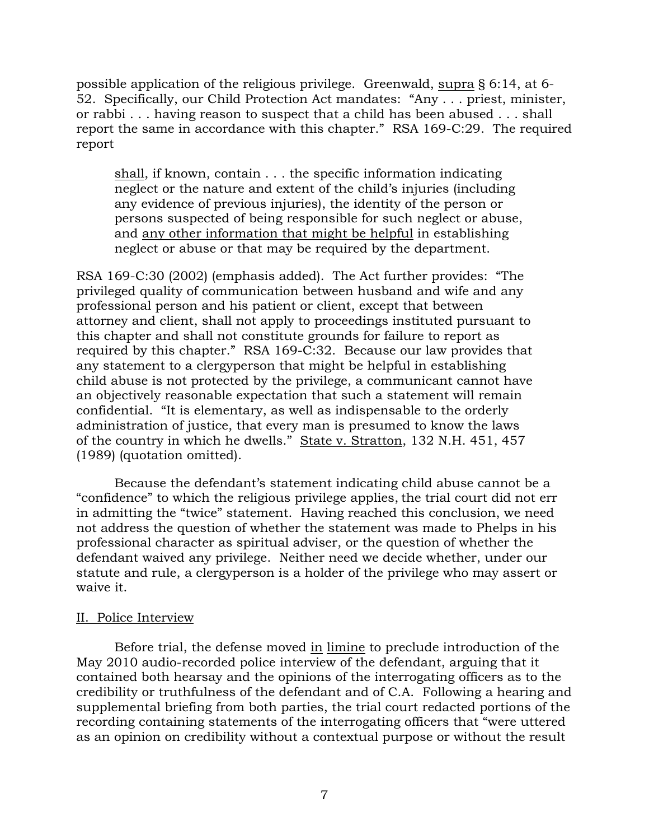possible application of the religious privilege. Greenwald, supra § 6:14, at 6- 52. Specifically, our Child Protection Act mandates: "Any . . . priest, minister, or rabbi . . . having reason to suspect that a child has been abused . . . shall report the same in accordance with this chapter." RSA 169-C:29. The required report

shall, if known, contain . . . the specific information indicating neglect or the nature and extent of the child's injuries (including any evidence of previous injuries), the identity of the person or persons suspected of being responsible for such neglect or abuse, and any other information that might be helpful in establishing neglect or abuse or that may be required by the department.

RSA 169-C:30 (2002) (emphasis added). The Act further provides: "The privileged quality of communication between husband and wife and any professional person and his patient or client, except that between attorney and client, shall not apply to proceedings instituted pursuant to this chapter and shall not constitute grounds for failure to report as required by this chapter." RSA 169-C:32. Because our law provides that any statement to a clergyperson that might be helpful in establishing child abuse is not protected by the privilege, a communicant cannot have an objectively reasonable expectation that such a statement will remain confidential. "It is elementary, as well as indispensable to the orderly administration of justice, that every man is presumed to know the laws of the country in which he dwells." State v. Stratton, 132 N.H. 451, 457 (1989) (quotation omitted).

 Because the defendant's statement indicating child abuse cannot be a "confidence" to which the religious privilege applies, the trial court did not err in admitting the "twice" statement. Having reached this conclusion, we need not address the question of whether the statement was made to Phelps in his professional character as spiritual adviser, or the question of whether the defendant waived any privilege. Neither need we decide whether, under our statute and rule, a clergyperson is a holder of the privilege who may assert or waive it.

# II. Police Interview

 Before trial, the defense moved in limine to preclude introduction of the May 2010 audio-recorded police interview of the defendant, arguing that it contained both hearsay and the opinions of the interrogating officers as to the credibility or truthfulness of the defendant and of C.A. Following a hearing and supplemental briefing from both parties, the trial court redacted portions of the recording containing statements of the interrogating officers that "were uttered as an opinion on credibility without a contextual purpose or without the result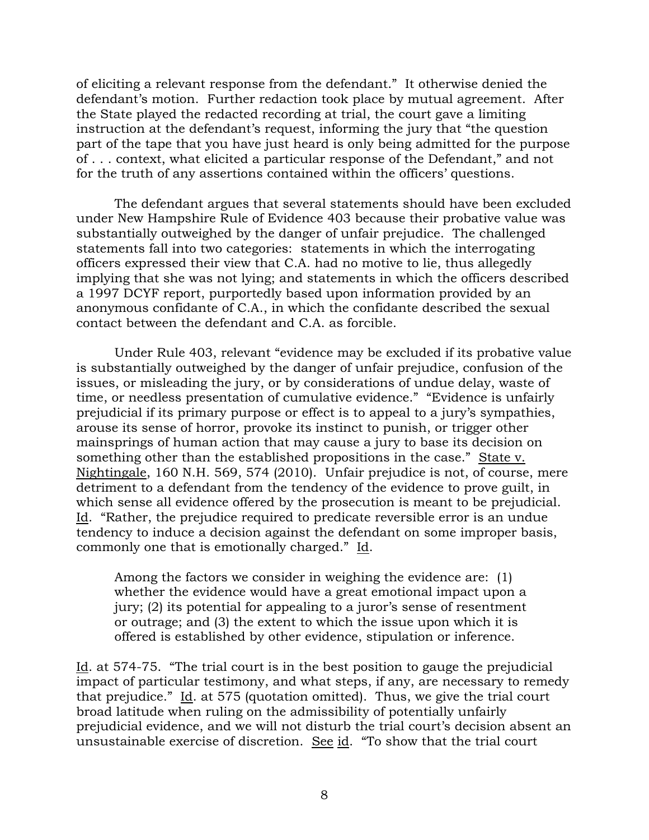of eliciting a relevant response from the defendant." It otherwise denied the defendant's motion. Further redaction took place by mutual agreement. After the State played the redacted recording at trial, the court gave a limiting instruction at the defendant's request, informing the jury that "the question part of the tape that you have just heard is only being admitted for the purpose of . . . context, what elicited a particular response of the Defendant," and not for the truth of any assertions contained within the officers' questions.

 The defendant argues that several statements should have been excluded under New Hampshire Rule of Evidence 403 because their probative value was substantially outweighed by the danger of unfair prejudice. The challenged statements fall into two categories: statements in which the interrogating officers expressed their view that C.A. had no motive to lie, thus allegedly implying that she was not lying; and statements in which the officers described a 1997 DCYF report, purportedly based upon information provided by an anonymous confidante of C.A., in which the confidante described the sexual contact between the defendant and C.A. as forcible.

 Under Rule 403, relevant "evidence may be excluded if its probative value is substantially outweighed by the danger of unfair prejudice, confusion of the issues, or misleading the jury, or by considerations of undue delay, waste of time, or needless presentation of cumulative evidence." "Evidence is unfairly prejudicial if its primary purpose or effect is to appeal to a jury's sympathies, arouse its sense of horror, provoke its instinct to punish, or trigger other mainsprings of human action that may cause a jury to base its decision on something other than the established propositions in the case." State v. Nightingale, 160 N.H. 569, 574 (2010). Unfair prejudice is not, of course, mere detriment to a defendant from the tendency of the evidence to prove guilt, in which sense all evidence offered by the prosecution is meant to be prejudicial. Id. "Rather, the prejudice required to predicate reversible error is an undue tendency to induce a decision against the defendant on some improper basis, commonly one that is emotionally charged." Id.

Among the factors we consider in weighing the evidence are: (1) whether the evidence would have a great emotional impact upon a jury; (2) its potential for appealing to a juror's sense of resentment or outrage; and (3) the extent to which the issue upon which it is offered is established by other evidence, stipulation or inference.

Id. at 574-75. "The trial court is in the best position to gauge the prejudicial impact of particular testimony, and what steps, if any, are necessary to remedy that prejudice." Id. at 575 (quotation omitted). Thus, we give the trial court broad latitude when ruling on the admissibility of potentially unfairly prejudicial evidence, and we will not disturb the trial court's decision absent an unsustainable exercise of discretion. See id. "To show that the trial court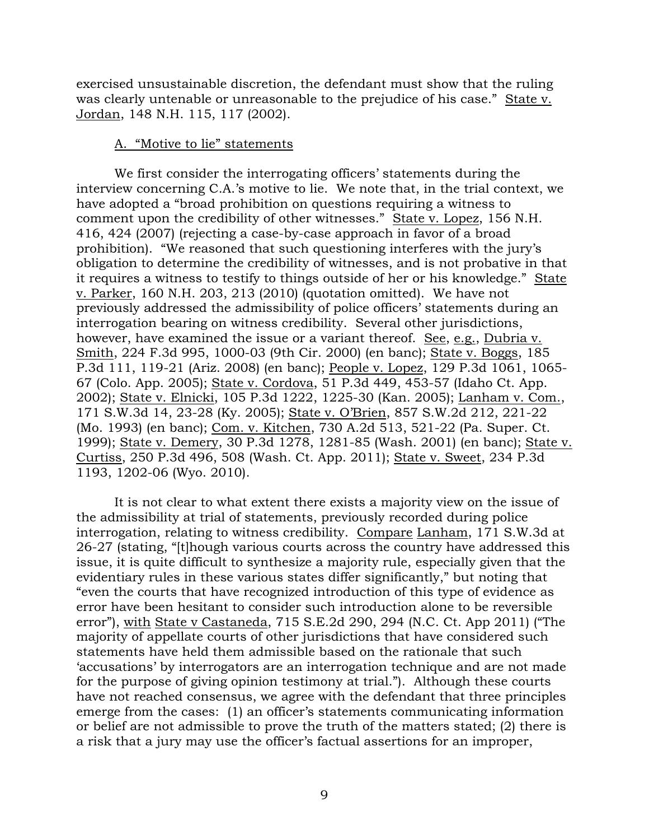exercised unsustainable discretion, the defendant must show that the ruling was clearly untenable or unreasonable to the prejudice of his case." State v. Jordan, 148 N.H. 115, 117 (2002).

#### A. "Motive to lie" statements

 We first consider the interrogating officers' statements during the interview concerning C.A.'s motive to lie. We note that, in the trial context, we have adopted a "broad prohibition on questions requiring a witness to comment upon the credibility of other witnesses." State v. Lopez, 156 N.H. 416, 424 (2007) (rejecting a case-by-case approach in favor of a broad prohibition). "We reasoned that such questioning interferes with the jury's obligation to determine the credibility of witnesses, and is not probative in that it requires a witness to testify to things outside of her or his knowledge." State v. Parker, 160 N.H. 203, 213 (2010) (quotation omitted). We have not previously addressed the admissibility of police officers' statements during an interrogation bearing on witness credibility. Several other jurisdictions, however, have examined the issue or a variant thereof. See, e.g., Dubria v. Smith, 224 F.3d 995, 1000-03 (9th Cir. 2000) (en banc); State v. Boggs, 185 P.3d 111, 119-21 (Ariz. 2008) (en banc); People v. Lopez, 129 P.3d 1061, 1065- 67 (Colo. App. 2005); State v. Cordova, 51 P.3d 449, 453-57 (Idaho Ct. App. 2002); State v. Elnicki, 105 P.3d 1222, 1225-30 (Kan. 2005); Lanham v. Com., 171 S.W.3d 14, 23-28 (Ky. 2005); State v. O'Brien, 857 S.W.2d 212, 221-22 (Mo. 1993) (en banc); Com. v. Kitchen, 730 A.2d 513, 521-22 (Pa. Super. Ct. 1999); State v. Demery, 30 P.3d 1278, 1281-85 (Wash. 2001) (en banc); State v. Curtiss, 250 P.3d 496, 508 (Wash. Ct. App. 2011); State v. Sweet, 234 P.3d 1193, 1202-06 (Wyo. 2010).

 It is not clear to what extent there exists a majority view on the issue of the admissibility at trial of statements, previously recorded during police interrogation, relating to witness credibility. Compare Lanham, 171 S.W.3d at 26-27 (stating, "[t]hough various courts across the country have addressed this issue, it is quite difficult to synthesize a majority rule, especially given that the evidentiary rules in these various states differ significantly," but noting that "even the courts that have recognized introduction of this type of evidence as error have been hesitant to consider such introduction alone to be reversible error"), with State v Castaneda, 715 S.E.2d 290, 294 (N.C. Ct. App 2011) ("The majority of appellate courts of other jurisdictions that have considered such statements have held them admissible based on the rationale that such 'accusations' by interrogators are an interrogation technique and are not made for the purpose of giving opinion testimony at trial."). Although these courts have not reached consensus, we agree with the defendant that three principles emerge from the cases: (1) an officer's statements communicating information or belief are not admissible to prove the truth of the matters stated; (2) there is a risk that a jury may use the officer's factual assertions for an improper,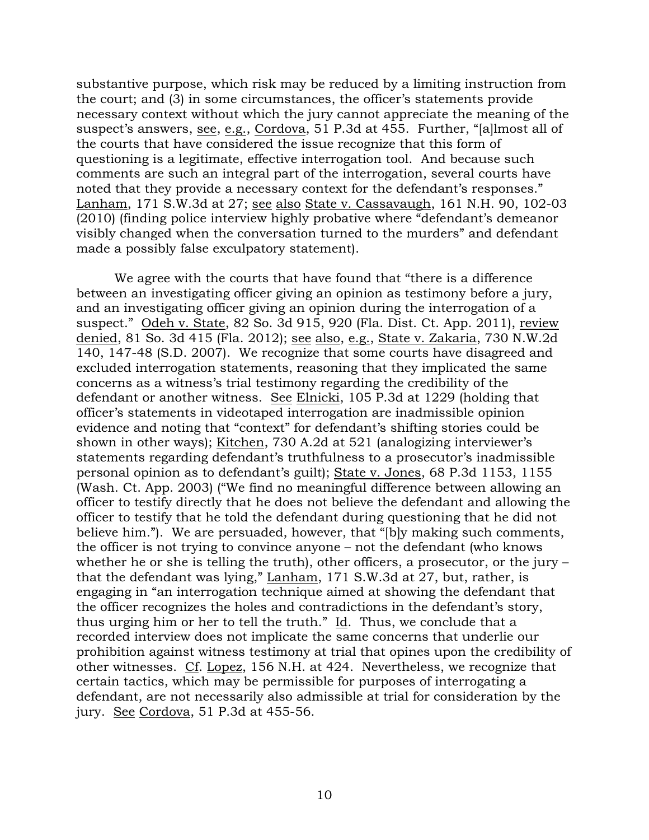substantive purpose, which risk may be reduced by a limiting instruction from the court; and (3) in some circumstances, the officer's statements provide necessary context without which the jury cannot appreciate the meaning of the suspect's answers, see, e.g., Cordova, 51 P.3d at 455. Further, "[a]lmost all of the courts that have considered the issue recognize that this form of questioning is a legitimate, effective interrogation tool. And because such comments are such an integral part of the interrogation, several courts have noted that they provide a necessary context for the defendant's responses." Lanham, 171 S.W.3d at 27; see also State v. Cassavaugh, 161 N.H. 90, 102-03 (2010) (finding police interview highly probative where "defendant's demeanor visibly changed when the conversation turned to the murders" and defendant made a possibly false exculpatory statement).

 We agree with the courts that have found that "there is a difference between an investigating officer giving an opinion as testimony before a jury, and an investigating officer giving an opinion during the interrogation of a suspect." Odeh v. State, 82 So. 3d 915, 920 (Fla. Dist. Ct. App. 2011), review denied, 81 So. 3d 415 (Fla. 2012); see also, e.g., State v. Zakaria, 730 N.W.2d 140, 147-48 (S.D. 2007). We recognize that some courts have disagreed and excluded interrogation statements, reasoning that they implicated the same concerns as a witness's trial testimony regarding the credibility of the defendant or another witness. See Elnicki, 105 P.3d at 1229 (holding that officer's statements in videotaped interrogation are inadmissible opinion evidence and noting that "context" for defendant's shifting stories could be shown in other ways); Kitchen, 730 A.2d at 521 (analogizing interviewer's statements regarding defendant's truthfulness to a prosecutor's inadmissible personal opinion as to defendant's guilt); State v. Jones, 68 P.3d 1153, 1155 (Wash. Ct. App. 2003) ("We find no meaningful difference between allowing an officer to testify directly that he does not believe the defendant and allowing the officer to testify that he told the defendant during questioning that he did not believe him."). We are persuaded, however, that "[b]y making such comments, the officer is not trying to convince anyone – not the defendant (who knows whether he or she is telling the truth), other officers, a prosecutor, or the jury – that the defendant was lying," Lanham, 171 S.W.3d at 27, but, rather, is engaging in "an interrogation technique aimed at showing the defendant that the officer recognizes the holes and contradictions in the defendant's story, thus urging him or her to tell the truth."  $\underline{Id}$ . Thus, we conclude that a recorded interview does not implicate the same concerns that underlie our prohibition against witness testimony at trial that opines upon the credibility of other witnesses. Cf. Lopez, 156 N.H. at 424. Nevertheless, we recognize that certain tactics, which may be permissible for purposes of interrogating a defendant, are not necessarily also admissible at trial for consideration by the jury. See Cordova, 51 P.3d at 455-56.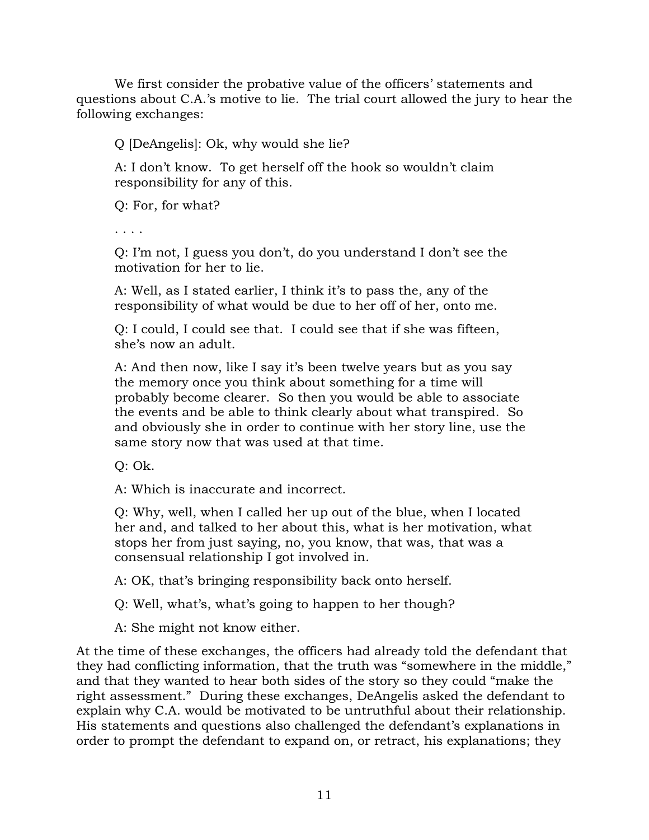We first consider the probative value of the officers' statements and questions about C.A.'s motive to lie. The trial court allowed the jury to hear the following exchanges:

Q [DeAngelis]: Ok, why would she lie?

A: I don't know. To get herself off the hook so wouldn't claim responsibility for any of this.

Q: For, for what?

. . . .

Q: I'm not, I guess you don't, do you understand I don't see the motivation for her to lie.

A: Well, as I stated earlier, I think it's to pass the, any of the responsibility of what would be due to her off of her, onto me.

Q: I could, I could see that. I could see that if she was fifteen, she's now an adult.

A: And then now, like I say it's been twelve years but as you say the memory once you think about something for a time will probably become clearer. So then you would be able to associate the events and be able to think clearly about what transpired. So and obviously she in order to continue with her story line, use the same story now that was used at that time.

Q: Ok.

A: Which is inaccurate and incorrect.

Q: Why, well, when I called her up out of the blue, when I located her and, and talked to her about this, what is her motivation, what stops her from just saying, no, you know, that was, that was a consensual relationship I got involved in.

A: OK, that's bringing responsibility back onto herself.

Q: Well, what's, what's going to happen to her though?

A: She might not know either.

At the time of these exchanges, the officers had already told the defendant that they had conflicting information, that the truth was "somewhere in the middle," and that they wanted to hear both sides of the story so they could "make the right assessment." During these exchanges, DeAngelis asked the defendant to explain why C.A. would be motivated to be untruthful about their relationship. His statements and questions also challenged the defendant's explanations in order to prompt the defendant to expand on, or retract, his explanations; they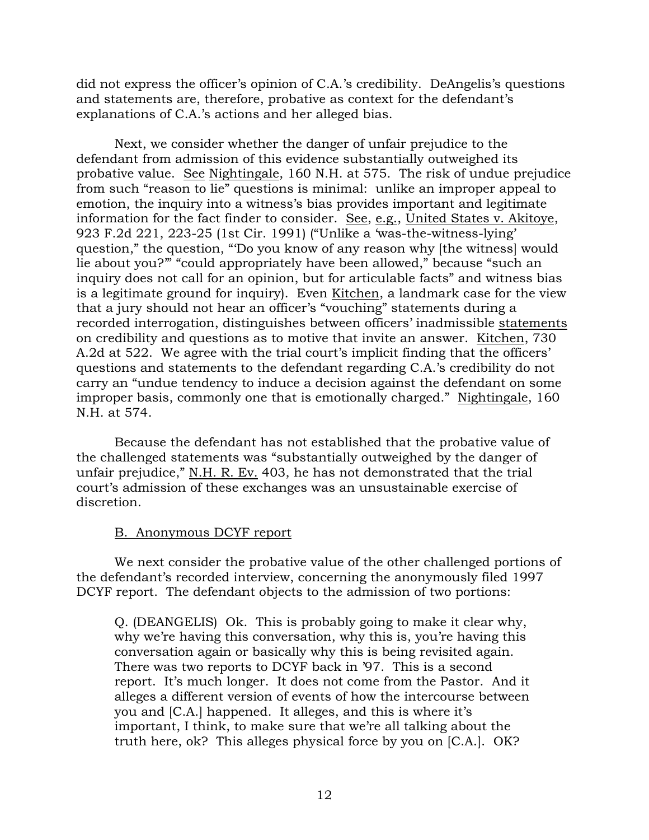did not express the officer's opinion of C.A.'s credibility. DeAngelis's questions and statements are, therefore, probative as context for the defendant's explanations of C.A.'s actions and her alleged bias.

 Next, we consider whether the danger of unfair prejudice to the defendant from admission of this evidence substantially outweighed its probative value. See Nightingale, 160 N.H. at 575. The risk of undue prejudice from such "reason to lie" questions is minimal: unlike an improper appeal to emotion, the inquiry into a witness's bias provides important and legitimate information for the fact finder to consider. See, e.g., United States v. Akitoye, 923 F.2d 221, 223-25 (1st Cir. 1991) ("Unlike a 'was-the-witness-lying' question," the question, "'Do you know of any reason why [the witness] would lie about you?'" "could appropriately have been allowed," because "such an inquiry does not call for an opinion, but for articulable facts" and witness bias is a legitimate ground for inquiry). Even Kitchen, a landmark case for the view that a jury should not hear an officer's "vouching" statements during a recorded interrogation, distinguishes between officers' inadmissible statements on credibility and questions as to motive that invite an answer. Kitchen, 730 A.2d at 522. We agree with the trial court's implicit finding that the officers' questions and statements to the defendant regarding C.A.'s credibility do not carry an "undue tendency to induce a decision against the defendant on some improper basis, commonly one that is emotionally charged." Nightingale, 160 N.H. at 574.

 Because the defendant has not established that the probative value of the challenged statements was "substantially outweighed by the danger of unfair prejudice," N.H. R. Ev. 403, he has not demonstrated that the trial court's admission of these exchanges was an unsustainable exercise of discretion.

# B. Anonymous DCYF report

 We next consider the probative value of the other challenged portions of the defendant's recorded interview, concerning the anonymously filed 1997 DCYF report. The defendant objects to the admission of two portions:

Q. (DEANGELIS) Ok. This is probably going to make it clear why, why we're having this conversation, why this is, you're having this conversation again or basically why this is being revisited again. There was two reports to DCYF back in '97. This is a second report. It's much longer. It does not come from the Pastor. And it alleges a different version of events of how the intercourse between you and [C.A.] happened. It alleges, and this is where it's important, I think, to make sure that we're all talking about the truth here, ok? This alleges physical force by you on [C.A.]. OK?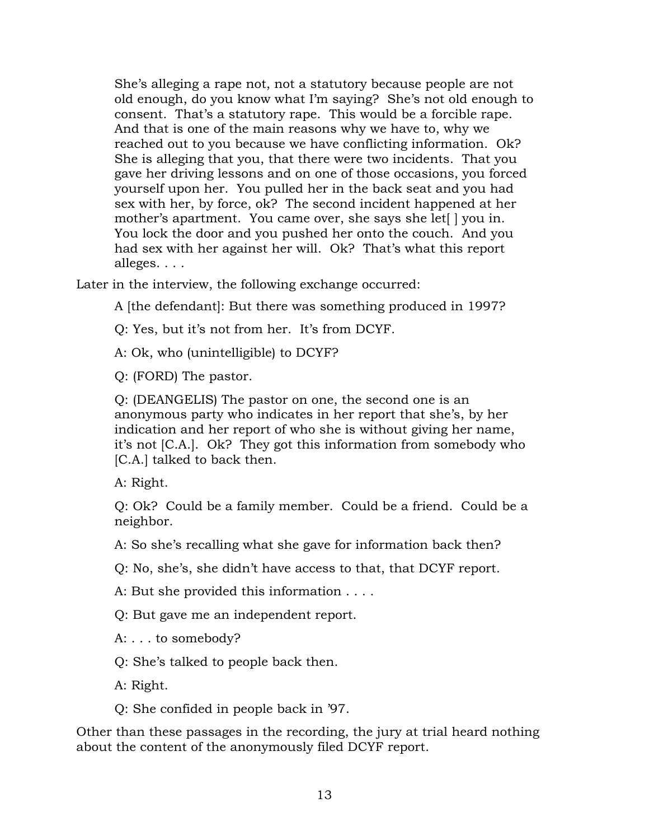She's alleging a rape not, not a statutory because people are not old enough, do you know what I'm saying? She's not old enough to consent. That's a statutory rape. This would be a forcible rape. And that is one of the main reasons why we have to, why we reached out to you because we have conflicting information. Ok? She is alleging that you, that there were two incidents. That you gave her driving lessons and on one of those occasions, you forced yourself upon her. You pulled her in the back seat and you had sex with her, by force, ok? The second incident happened at her mother's apartment. You came over, she says she let<sup>[]</sup> you in. You lock the door and you pushed her onto the couch. And you had sex with her against her will. Ok? That's what this report alleges. . . .

Later in the interview, the following exchange occurred:

A [the defendant]: But there was something produced in 1997?

Q: Yes, but it's not from her. It's from DCYF.

A: Ok, who (unintelligible) to DCYF?

Q: (FORD) The pastor.

Q: (DEANGELIS) The pastor on one, the second one is an anonymous party who indicates in her report that she's, by her indication and her report of who she is without giving her name, it's not [C.A.]. Ok? They got this information from somebody who [C.A.] talked to back then.

A: Right.

Q: Ok? Could be a family member. Could be a friend. Could be a neighbor.

A: So she's recalling what she gave for information back then?

Q: No, she's, she didn't have access to that, that DCYF report.

A: But she provided this information . . . .

Q: But gave me an independent report.

A: . . . to somebody?

Q: She's talked to people back then.

A: Right.

Q: She confided in people back in '97.

Other than these passages in the recording, the jury at trial heard nothing about the content of the anonymously filed DCYF report.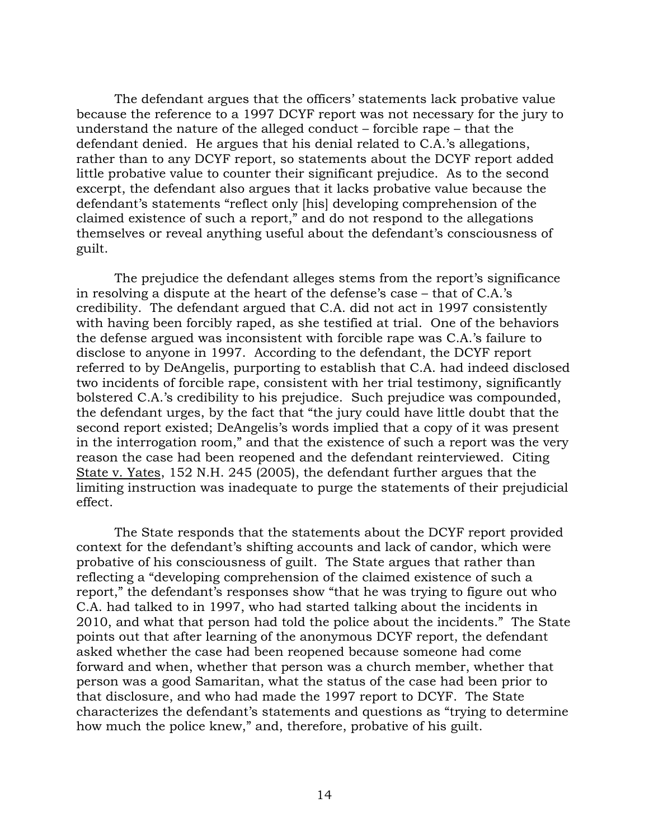The defendant argues that the officers' statements lack probative value because the reference to a 1997 DCYF report was not necessary for the jury to understand the nature of the alleged conduct – forcible rape – that the defendant denied. He argues that his denial related to C.A.'s allegations, rather than to any DCYF report, so statements about the DCYF report added little probative value to counter their significant prejudice. As to the second excerpt, the defendant also argues that it lacks probative value because the defendant's statements "reflect only [his] developing comprehension of the claimed existence of such a report," and do not respond to the allegations themselves or reveal anything useful about the defendant's consciousness of guilt.

 The prejudice the defendant alleges stems from the report's significance in resolving a dispute at the heart of the defense's case – that of C.A.'s credibility. The defendant argued that C.A. did not act in 1997 consistently with having been forcibly raped, as she testified at trial. One of the behaviors the defense argued was inconsistent with forcible rape was C.A.'s failure to disclose to anyone in 1997. According to the defendant, the DCYF report referred to by DeAngelis, purporting to establish that C.A. had indeed disclosed two incidents of forcible rape, consistent with her trial testimony, significantly bolstered C.A.'s credibility to his prejudice. Such prejudice was compounded, the defendant urges, by the fact that "the jury could have little doubt that the second report existed; DeAngelis's words implied that a copy of it was present in the interrogation room," and that the existence of such a report was the very reason the case had been reopened and the defendant reinterviewed. Citing State v. Yates, 152 N.H. 245 (2005), the defendant further argues that the limiting instruction was inadequate to purge the statements of their prejudicial effect.

 The State responds that the statements about the DCYF report provided context for the defendant's shifting accounts and lack of candor, which were probative of his consciousness of guilt. The State argues that rather than reflecting a "developing comprehension of the claimed existence of such a report," the defendant's responses show "that he was trying to figure out who C.A. had talked to in 1997, who had started talking about the incidents in 2010, and what that person had told the police about the incidents." The State points out that after learning of the anonymous DCYF report, the defendant asked whether the case had been reopened because someone had come forward and when, whether that person was a church member, whether that person was a good Samaritan, what the status of the case had been prior to that disclosure, and who had made the 1997 report to DCYF. The State characterizes the defendant's statements and questions as "trying to determine how much the police knew," and, therefore, probative of his guilt.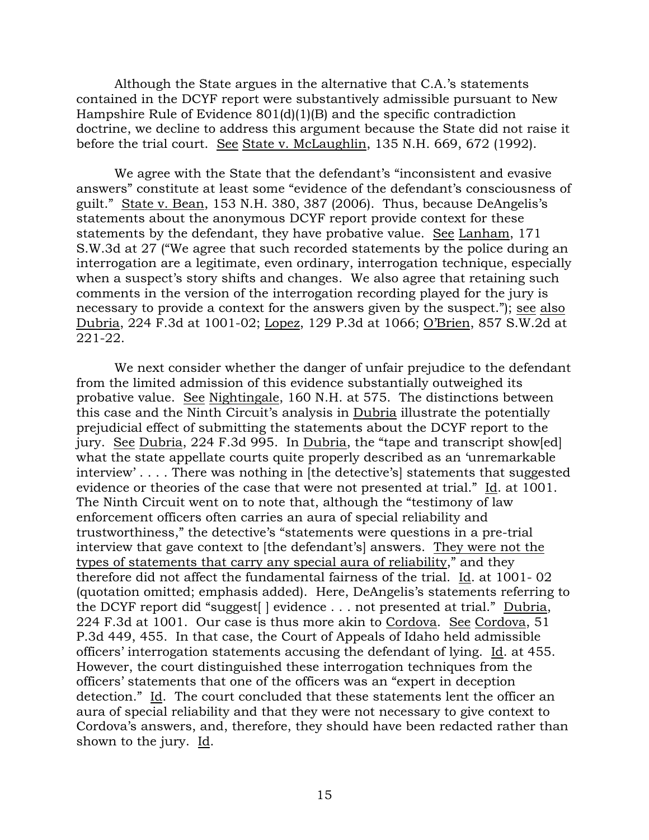Although the State argues in the alternative that C.A.'s statements contained in the DCYF report were substantively admissible pursuant to New Hampshire Rule of Evidence 801(d)(1)(B) and the specific contradiction doctrine, we decline to address this argument because the State did not raise it before the trial court. See State v. McLaughlin, 135 N.H. 669, 672 (1992).

 We agree with the State that the defendant's "inconsistent and evasive answers" constitute at least some "evidence of the defendant's consciousness of guilt." State v. Bean, 153 N.H. 380, 387 (2006). Thus, because DeAngelis's statements about the anonymous DCYF report provide context for these statements by the defendant, they have probative value. See Lanham, 171 S.W.3d at 27 ("We agree that such recorded statements by the police during an interrogation are a legitimate, even ordinary, interrogation technique, especially when a suspect's story shifts and changes. We also agree that retaining such comments in the version of the interrogation recording played for the jury is necessary to provide a context for the answers given by the suspect."); see also Dubria, 224 F.3d at 1001-02; Lopez, 129 P.3d at 1066; O'Brien, 857 S.W.2d at 221-22.

 We next consider whether the danger of unfair prejudice to the defendant from the limited admission of this evidence substantially outweighed its probative value. See Nightingale, 160 N.H. at 575. The distinctions between this case and the Ninth Circuit's analysis in Dubria illustrate the potentially prejudicial effect of submitting the statements about the DCYF report to the jury. See Dubria, 224 F.3d 995. In Dubria, the "tape and transcript show[ed] what the state appellate courts quite properly described as an 'unremarkable interview' . . . . There was nothing in [the detective's] statements that suggested evidence or theories of the case that were not presented at trial." Id. at 1001. The Ninth Circuit went on to note that, although the "testimony of law enforcement officers often carries an aura of special reliability and trustworthiness," the detective's "statements were questions in a pre-trial interview that gave context to [the defendant's] answers. They were not the types of statements that carry any special aura of reliability," and they therefore did not affect the fundamental fairness of the trial. Id. at 1001- 02 (quotation omitted; emphasis added). Here, DeAngelis's statements referring to the DCYF report did "suggest[ ] evidence . . . not presented at trial." Dubria, 224 F.3d at 1001. Our case is thus more akin to Cordova. See Cordova, 51 P.3d 449, 455. In that case, the Court of Appeals of Idaho held admissible officers' interrogation statements accusing the defendant of lying. Id. at 455. However, the court distinguished these interrogation techniques from the officers' statements that one of the officers was an "expert in deception detection." Id. The court concluded that these statements lent the officer an aura of special reliability and that they were not necessary to give context to Cordova's answers, and, therefore, they should have been redacted rather than shown to the jury. Id.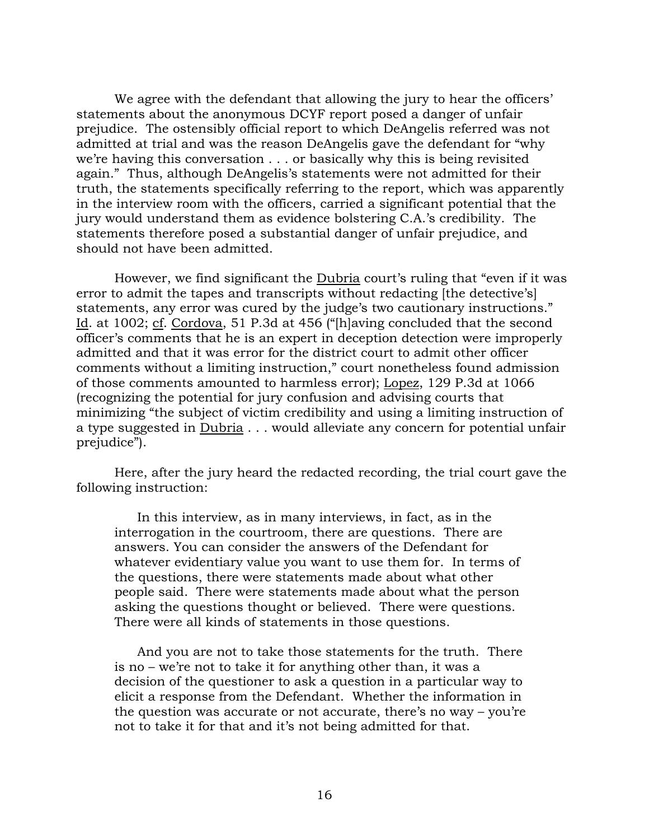We agree with the defendant that allowing the jury to hear the officers' statements about the anonymous DCYF report posed a danger of unfair prejudice. The ostensibly official report to which DeAngelis referred was not admitted at trial and was the reason DeAngelis gave the defendant for "why we're having this conversation . . . or basically why this is being revisited again." Thus, although DeAngelis's statements were not admitted for their truth, the statements specifically referring to the report, which was apparently in the interview room with the officers, carried a significant potential that the jury would understand them as evidence bolstering C.A.'s credibility. The statements therefore posed a substantial danger of unfair prejudice, and should not have been admitted.

 However, we find significant the Dubria court's ruling that "even if it was error to admit the tapes and transcripts without redacting [the detective's] statements, any error was cured by the judge's two cautionary instructions." Id. at 1002; cf. Cordova, 51 P.3d at 456 ("[h]aving concluded that the second officer's comments that he is an expert in deception detection were improperly admitted and that it was error for the district court to admit other officer comments without a limiting instruction," court nonetheless found admission of those comments amounted to harmless error); Lopez, 129 P.3d at 1066 (recognizing the potential for jury confusion and advising courts that minimizing "the subject of victim credibility and using a limiting instruction of a type suggested in Dubria . . . would alleviate any concern for potential unfair prejudice").

 Here, after the jury heard the redacted recording, the trial court gave the following instruction:

 In this interview, as in many interviews, in fact, as in the interrogation in the courtroom, there are questions. There are answers. You can consider the answers of the Defendant for whatever evidentiary value you want to use them for. In terms of the questions, there were statements made about what other people said. There were statements made about what the person asking the questions thought or believed. There were questions. There were all kinds of statements in those questions.

 And you are not to take those statements for the truth. There is no – we're not to take it for anything other than, it was a decision of the questioner to ask a question in a particular way to elicit a response from the Defendant. Whether the information in the question was accurate or not accurate, there's no way – you're not to take it for that and it's not being admitted for that.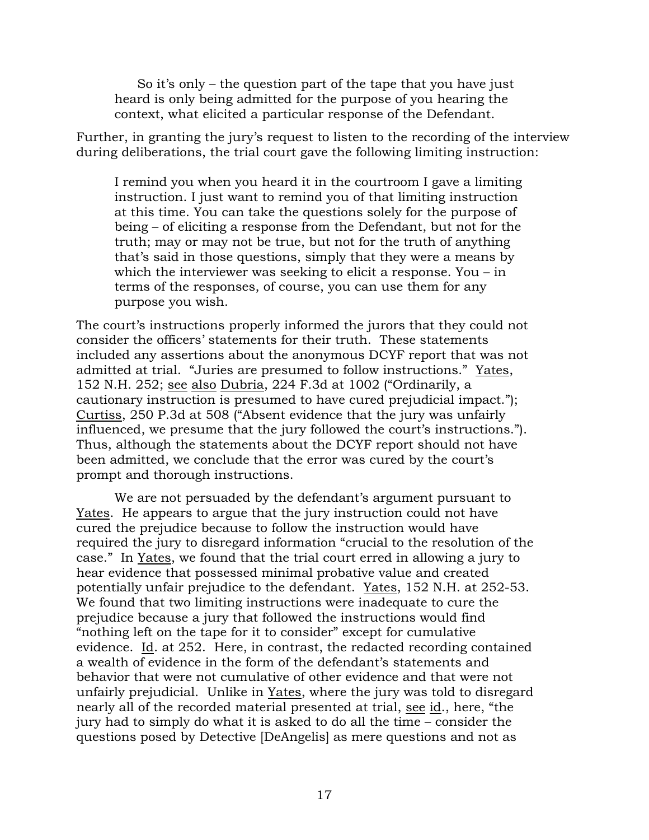So it's only – the question part of the tape that you have just heard is only being admitted for the purpose of you hearing the context, what elicited a particular response of the Defendant.

Further, in granting the jury's request to listen to the recording of the interview during deliberations, the trial court gave the following limiting instruction:

I remind you when you heard it in the courtroom I gave a limiting instruction. I just want to remind you of that limiting instruction at this time. You can take the questions solely for the purpose of being – of eliciting a response from the Defendant, but not for the truth; may or may not be true, but not for the truth of anything that's said in those questions, simply that they were a means by which the interviewer was seeking to elicit a response. You – in terms of the responses, of course, you can use them for any purpose you wish.

The court's instructions properly informed the jurors that they could not consider the officers' statements for their truth. These statements included any assertions about the anonymous DCYF report that was not admitted at trial. "Juries are presumed to follow instructions." Yates, 152 N.H. 252; see also Dubria, 224 F.3d at 1002 ("Ordinarily, a cautionary instruction is presumed to have cured prejudicial impact."); Curtiss, 250 P.3d at 508 ("Absent evidence that the jury was unfairly influenced, we presume that the jury followed the court's instructions."). Thus, although the statements about the DCYF report should not have been admitted, we conclude that the error was cured by the court's prompt and thorough instructions.

 We are not persuaded by the defendant's argument pursuant to Yates. He appears to argue that the jury instruction could not have cured the prejudice because to follow the instruction would have required the jury to disregard information "crucial to the resolution of the case." In Yates, we found that the trial court erred in allowing a jury to hear evidence that possessed minimal probative value and created potentially unfair prejudice to the defendant. Yates, 152 N.H. at 252-53. We found that two limiting instructions were inadequate to cure the prejudice because a jury that followed the instructions would find "nothing left on the tape for it to consider" except for cumulative evidence. Id. at 252. Here, in contrast, the redacted recording contained a wealth of evidence in the form of the defendant's statements and behavior that were not cumulative of other evidence and that were not unfairly prejudicial. Unlike in Yates, where the jury was told to disregard nearly all of the recorded material presented at trial, see id., here, "the jury had to simply do what it is asked to do all the time – consider the questions posed by Detective [DeAngelis] as mere questions and not as